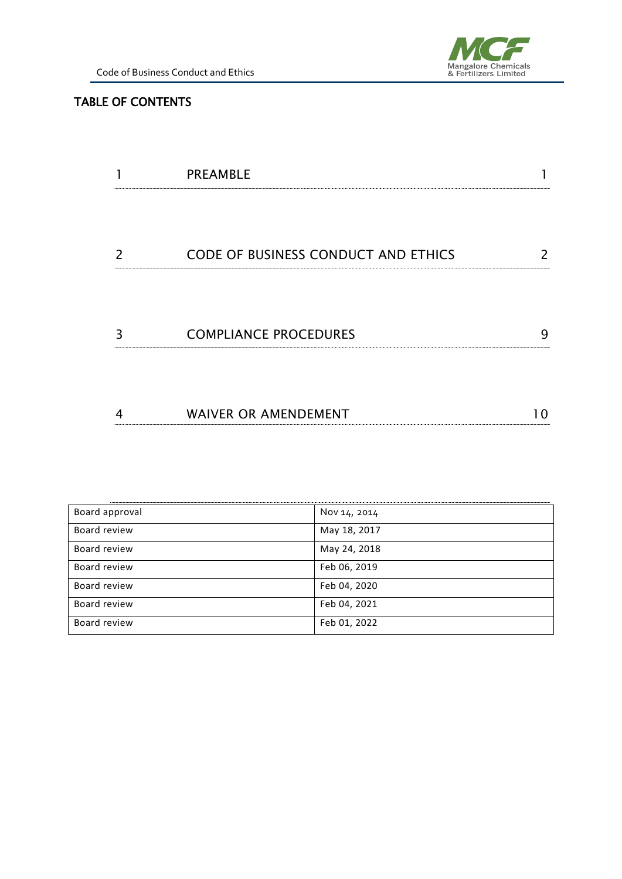

### TABLE OF CONTENTS

|   | <b>PREAMBLE</b>                            |   |
|---|--------------------------------------------|---|
|   |                                            |   |
| 2 | <b>CODE OF BUSINESS CONDUCT AND ETHICS</b> |   |
| 3 | <b>COMPLIANCE PROCEDURES</b>               | g |
|   | <b>WAIVER OR AMENDEMENT</b>                |   |

| Board approval | Nov 14, 2014 |  |
|----------------|--------------|--|
| Board review   | May 18, 2017 |  |
| Board review   | May 24, 2018 |  |
| Board review   | Feb 06, 2019 |  |
| Board review   | Feb 04, 2020 |  |
| Board review   | Feb 04, 2021 |  |
| Board review   | Feb 01, 2022 |  |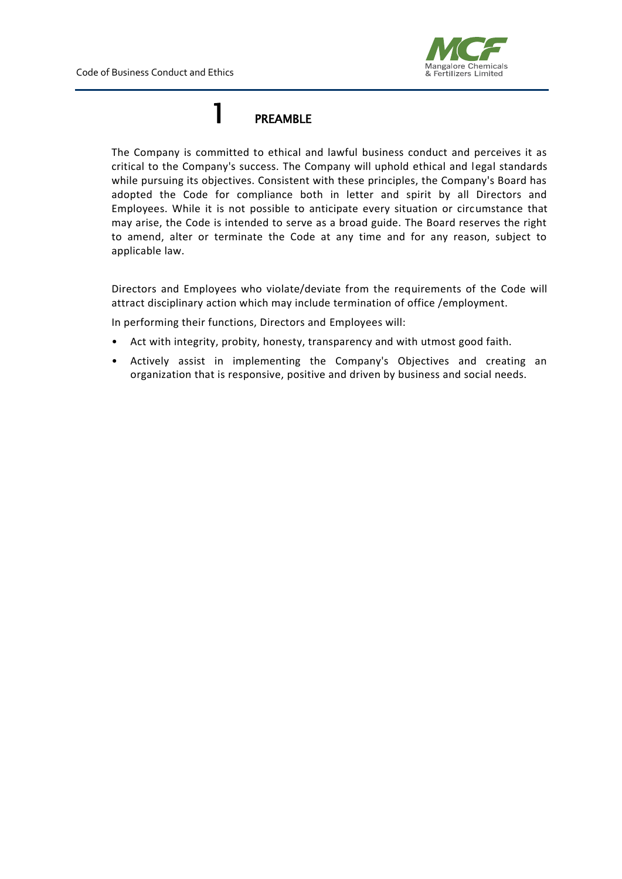

### 1 PREAMBLE

<span id="page-1-0"></span>The Company is committed to ethical and lawful business conduct and perceives it as critical to the Company's success. The Company will uphold ethical and legal standards while pursuing its objectives. Consistent with these principles, the Company's Board has adopted the Code for compliance both in letter and spirit by all Directors and Employees. While it is not possible to anticipate every situation or circumstance that may arise, the Code is intended to serve as a broad guide. The Board reserves the right to amend, alter or terminate the Code at any time and for any reason, subject to applicable law.

Directors and Employees who violate/deviate from the requirements of the Code will attract disciplinary action which may include termination of office /employment.

In performing their functions, Directors and Employees will:

- Act with integrity, probity, honesty, transparency and with utmost good faith.
- Actively assist in implementing the Company's Objectives and creating an organization that is responsive, positive and driven by business and social needs.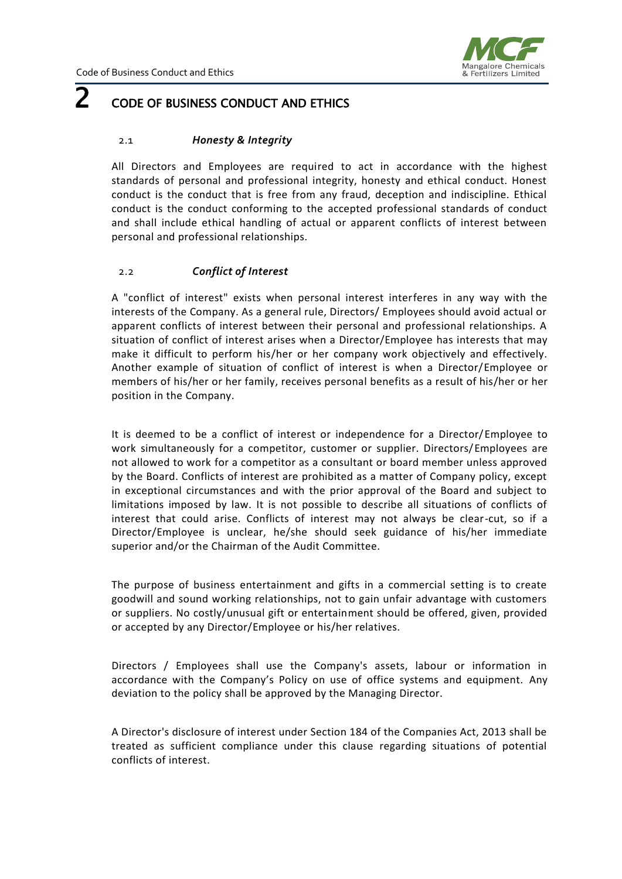

# <span id="page-2-0"></span> $2<sub>code</sub>$  of business conduct and ethics

#### 2.1 *Honesty & Integrity*

All Directors and Employees are required to act in accordance with the highest standards of personal and professional integrity, honesty and ethical conduct. Honest conduct is the conduct that is free from any fraud, deception and indiscipline. Ethical conduct is the conduct conforming to the accepted professional standards of conduct and shall include ethical handling of actual or apparent conflicts of interest between personal and professional relationships.

#### 2.2 *Conflict of Interest*

A "conflict of interest" exists when personal interest interferes in any way with the interests of the Company. As a general rule, Directors/ Employees should avoid actual or apparent conflicts of interest between their personal and professional relationships. A situation of conflict of interest arises when a Director/Employee has interests that may make it difficult to perform his/her or her company work objectively and effectively. Another example of situation of conflict of interest is when a Director/Employee or members of his/her or her family, receives personal benefits as a result of his/her or her position in the Company.

It is deemed to be a conflict of interest or independence for a Director/Employee to work simultaneously for a competitor, customer or supplier. Directors/Employees are not allowed to work for a competitor as a consultant or board member unless approved by the Board. Conflicts of interest are prohibited as a matter of Company policy, except in exceptional circumstances and with the prior approval of the Board and subject to limitations imposed by law. It is not possible to describe all situations of conflicts of interest that could arise. Conflicts of interest may not always be clear-cut, so if a Director/Employee is unclear, he/she should seek guidance of his/her immediate superior and/or the Chairman of the Audit Committee.

The purpose of business entertainment and gifts in a commercial setting is to create goodwill and sound working relationships, not to gain unfair advantage with customers or suppliers. No costly/unusual gift or entertainment should be offered, given, provided or accepted by any Director/Employee or his/her relatives.

Directors / Employees shall use the Company's assets, labour or information in accordance with the Company's Policy on use of office systems and equipment. Any deviation to the policy shall be approved by the Managing Director.

A Director's disclosure of interest under Section 184 of the Companies Act, 2013 shall be treated as sufficient compliance under this clause regarding situations of potential conflicts of interest.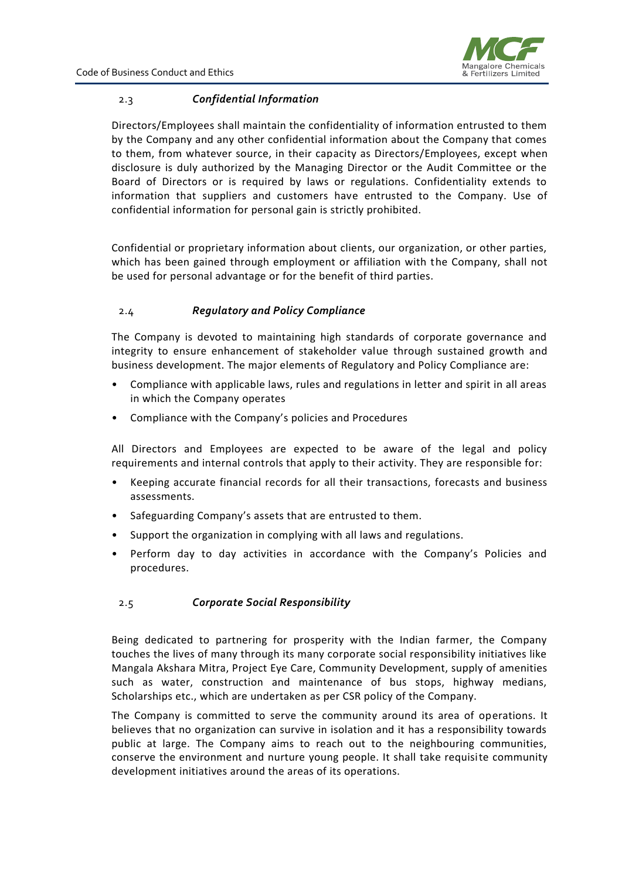

#### 2.3 *Confidential Information*

Directors/Employees shall maintain the confidentiality of information entrusted to them by the Company and any other confidential information about the Company that comes to them, from whatever source, in their capacity as Directors/Employees, except when disclosure is duly authorized by the Managing Director or the Audit Committee or the Board of Directors or is required by laws or regulations. Confidentiality extends to information that suppliers and customers have entrusted to the Company. Use of confidential information for personal gain is strictly prohibited.

Confidential or proprietary information about clients, our organization, or other parties, which has been gained through employment or affiliation with the Company, shall not be used for personal advantage or for the benefit of third parties.

#### 2.4 *Regulatory and Policy Compliance*

The Company is devoted to maintaining high standards of corporate governance and integrity to ensure enhancement of stakeholder value through sustained growth and business development. The major elements of Regulatory and Policy Compliance are:

- Compliance with applicable laws, rules and regulations in letter and spirit in all areas in which the Company operates
- Compliance with the Company's policies and Procedures

All Directors and Employees are expected to be aware of the legal and policy requirements and internal controls that apply to their activity. They are responsible for:

- Keeping accurate financial records for all their transactions, forecasts and business assessments.
- Safeguarding Company's assets that are entrusted to them.
- Support the organization in complying with all laws and regulations.
- Perform day to day activities in accordance with the Company's Policies and procedures.

#### 2.5 *Corporate Social Responsibility*

Being dedicated to partnering for prosperity with the Indian farmer, the Company touches the lives of many through its many corporate social responsibility initiatives like Mangala Akshara Mitra, Project Eye Care, Community Development, supply of amenities such as water, construction and maintenance of bus stops, highway medians, Scholarships etc., which are undertaken as per CSR policy of the Company.

The Company is committed to serve the community around its area of operations. It believes that no organization can survive in isolation and it has a responsibility towards public at large. The Company aims to reach out to the neighbouring communities, conserve the environment and nurture young people. It shall take requisite community development initiatives around the areas of its operations.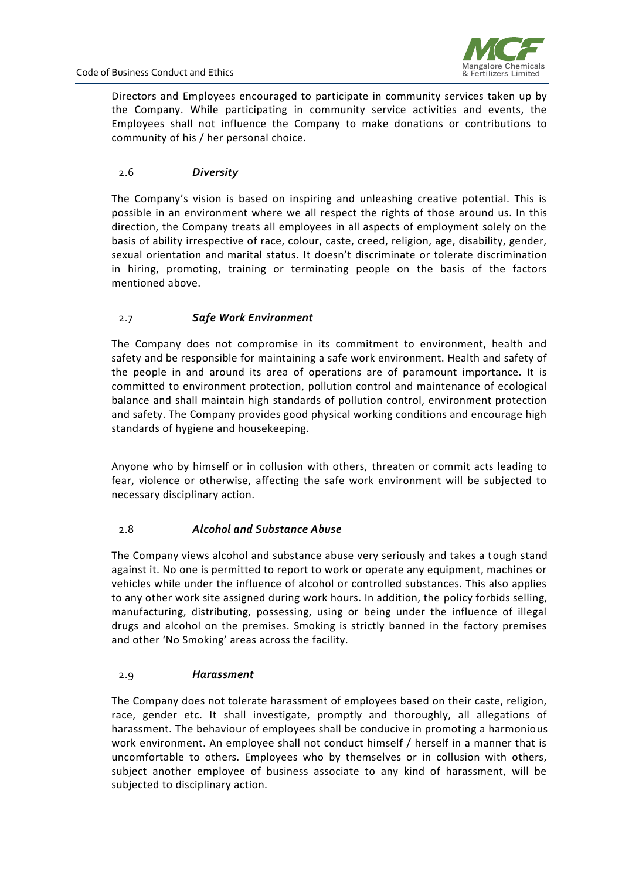

Directors and Employees encouraged to participate in community services taken up by the Company. While participating in community service activities and events, the Employees shall not influence the Company to make donations or contributions to community of his / her personal choice.

#### 2.6 *Diversity*

The Company's vision is based on inspiring and unleashing creative potential. This is possible in an environment where we all respect the rights of those around us. In this direction, the Company treats all employees in all aspects of employment solely on the basis of ability irrespective of race, colour, caste, creed, religion, age, disability, gender, sexual orientation and marital status. It doesn't discriminate or tolerate discrimination in hiring, promoting, training or terminating people on the basis of the factors mentioned above.

#### 2.7 *Safe Work Environment*

The Company does not compromise in its commitment to environment, health and safety and be responsible for maintaining a safe work environment. Health and safety of the people in and around its area of operations are of paramount importance. It is committed to environment protection, pollution control and maintenance of ecological balance and shall maintain high standards of pollution control, environment protection and safety. The Company provides good physical working conditions and encourage high standards of hygiene and housekeeping.

Anyone who by himself or in collusion with others, threaten or commit acts leading to fear, violence or otherwise, affecting the safe work environment will be subjected to necessary disciplinary action.

#### 2.8 *Alcohol and Substance Abuse*

The Company views alcohol and substance abuse very seriously and takes a tough stand against it. No one is permitted to report to work or operate any equipment, machines or vehicles while under the influence of alcohol or controlled substances. This also applies to any other work site assigned during work hours. In addition, the policy forbids selling, manufacturing, distributing, possessing, using or being under the influence of illegal drugs and alcohol on the premises. Smoking is strictly banned in the factory premises and other 'No Smoking' areas across the facility.

#### 2.9 *Harassment*

The Company does not tolerate harassment of employees based on their caste, religion, race, gender etc. It shall investigate, promptly and thoroughly, all allegations of harassment. The behaviour of employees shall be conducive in promoting a harmonious work environment. An employee shall not conduct himself / herself in a manner that is uncomfortable to others. Employees who by themselves or in collusion with others, subject another employee of business associate to any kind of harassment, will be subjected to disciplinary action.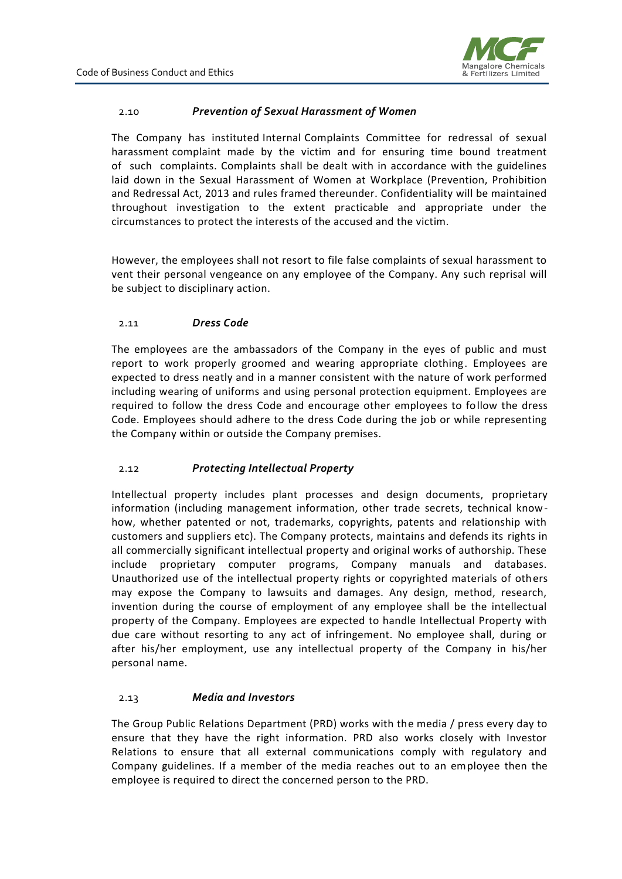

#### 2.10 *Prevention of Sexual Harassment of Women*

The Company has instituted Internal Complaints Committee for redressal of sexual harassment complaint made by the victim and for ensuring time bound treatment of such complaints. Complaints shall be dealt with in accordance with the guidelines laid down in the Sexual Harassment of Women at Workplace (Prevention, Prohibition and Redressal Act, 2013 and rules framed thereunder. Confidentiality will be maintained throughout investigation to the extent practicable and appropriate under the circumstances to protect the interests of the accused and the victim.

However, the employees shall not resort to file false complaints of sexual harassment to vent their personal vengeance on any employee of the Company. Any such reprisal will be subject to disciplinary action.

#### 2.11 *Dress Code*

The employees are the ambassadors of the Company in the eyes of public and must report to work properly groomed and wearing appropriate clothing. Employees are expected to dress neatly and in a manner consistent with the nature of work performed including wearing of uniforms and using personal protection equipment. Employees are required to follow the dress Code and encourage other employees to follow the dress Code. Employees should adhere to the dress Code during the job or while representing the Company within or outside the Company premises.

#### 2.12 *Protecting Intellectual Property*

Intellectual property includes plant processes and design documents, proprietary information (including management information, other trade secrets, technical knowhow, whether patented or not, trademarks, copyrights, patents and relationship with customers and suppliers etc). The Company protects, maintains and defends its rights in all commercially significant intellectual property and original works of authorship. These include proprietary computer programs, Company manuals and databases. Unauthorized use of the intellectual property rights or copyrighted materials of others may expose the Company to lawsuits and damages. Any design, method, research, invention during the course of employment of any employee shall be the intellectual property of the Company. Employees are expected to handle Intellectual Property with due care without resorting to any act of infringement. No employee shall, during or after his/her employment, use any intellectual property of the Company in his/her personal name.

#### 2.13 *Media and Investors*

The Group Public Relations Department (PRD) works with the media / press every day to ensure that they have the right information. PRD also works closely with Investor Relations to ensure that all external communications comply with regulatory and Company guidelines. If a member of the media reaches out to an employee then the employee is required to direct the concerned person to the PRD.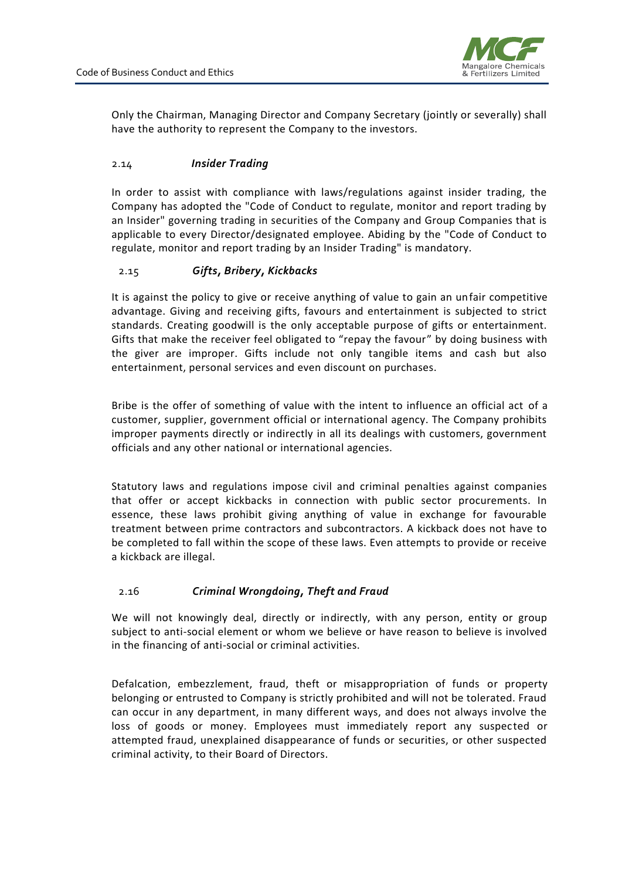

Only the Chairman, Managing Director and Company Secretary (jointly or severally) shall have the authority to represent the Company to the investors.

#### 2.14 *Insider Trading*

In order to assist with compliance with laws/regulations against insider trading, the Company has adopted the "Code of Conduct to regulate, monitor and report trading by an Insider" governing trading in securities of the Company and Group Companies that is applicable to every Director/designated employee. Abiding by the "Code of Conduct to regulate, monitor and report trading by an Insider Trading" is mandatory.

#### 2.15 *Gifts, Bribery, Kickbacks*

It is against the policy to give or receive anything of value to gain an unfair competitive advantage. Giving and receiving gifts, favours and entertainment is subjected to strict standards. Creating goodwill is the only acceptable purpose of gifts or entertainment. Gifts that make the receiver feel obligated to "repay the favour" by doing business with the giver are improper. Gifts include not only tangible items and cash but also entertainment, personal services and even discount on purchases.

Bribe is the offer of something of value with the intent to influence an official act of a customer, supplier, government official or international agency. The Company prohibits improper payments directly or indirectly in all its dealings with customers, government officials and any other national or international agencies.

Statutory laws and regulations impose civil and criminal penalties against companies that offer or accept kickbacks in connection with public sector procurements. In essence, these laws prohibit giving anything of value in exchange for favourable treatment between prime contractors and subcontractors. A kickback does not have to be completed to fall within the scope of these laws. Even attempts to provide or receive a kickback are illegal.

#### 2.16 *Criminal Wrongdoing, Theft and Fraud*

We will not knowingly deal, directly or indirectly, with any person, entity or group subject to anti-social element or whom we believe or have reason to believe is involved in the financing of anti-social or criminal activities.

Defalcation, embezzlement, fraud, theft or misappropriation of funds or property belonging or entrusted to Company is strictly prohibited and will not be tolerated. Fraud can occur in any department, in many different ways, and does not always involve the loss of goods or money. Employees must immediately report any suspected or attempted fraud, unexplained disappearance of funds or securities, or other suspected criminal activity, to their Board of Directors.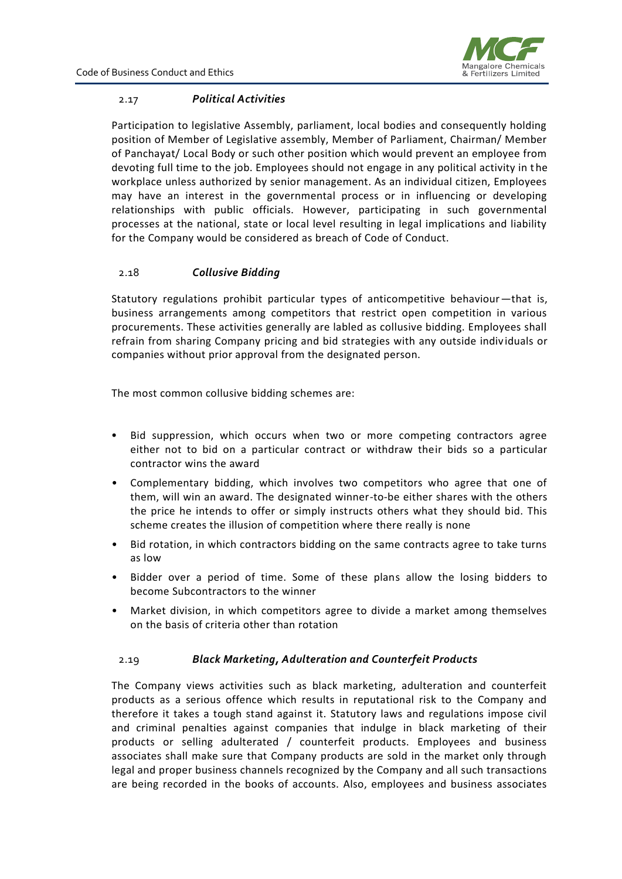

#### 2.17 *Political Activities*

Participation to legislative Assembly, parliament, local bodies and consequently holding position of Member of Legislative assembly, Member of Parliament, Chairman/ Member of Panchayat/ Local Body or such other position which would prevent an employee from devoting full time to the job. Employees should not engage in any political activity in the workplace unless authorized by senior management. As an individual citizen, Employees may have an interest in the governmental process or in influencing or developing relationships with public officials. However, participating in such governmental processes at the national, state or local level resulting in legal implications and liability for the Company would be considered as breach of Code of Conduct.

#### 2.18 *Collusive Bidding*

Statutory regulations prohibit particular types of anticompetitive behaviour—that is, business arrangements among competitors that restrict open competition in various procurements. These activities generally are labled as collusive bidding. Employees shall refrain from sharing Company pricing and bid strategies with any outside indiv iduals or companies without prior approval from the designated person.

The most common collusive bidding schemes are:

- Bid suppression, which occurs when two or more competing contractors agree either not to bid on a particular contract or withdraw their bids so a particular contractor wins the award
- Complementary bidding, which involves two competitors who agree that one of them, will win an award. The designated winner-to-be either shares with the others the price he intends to offer or simply instructs others what they should bid. This scheme creates the illusion of competition where there really is none
- Bid rotation, in which contractors bidding on the same contracts agree to take turns as low
- Bidder over a period of time. Some of these plans allow the losing bidders to become Subcontractors to the winner
- Market division, in which competitors agree to divide a market among themselves on the basis of criteria other than rotation

#### 2.19 *Black Marketing, Adulteration and Counterfeit Products*

The Company views activities such as black marketing, adulteration and counterfeit products as a serious offence which results in reputational risk to the Company and therefore it takes a tough stand against it. Statutory laws and regulations impose civil and criminal penalties against companies that indulge in black marketing of their products or selling adulterated / counterfeit products. Employees and business associates shall make sure that Company products are sold in the market only through legal and proper business channels recognized by the Company and all such transactions are being recorded in the books of accounts. Also, employees and business associates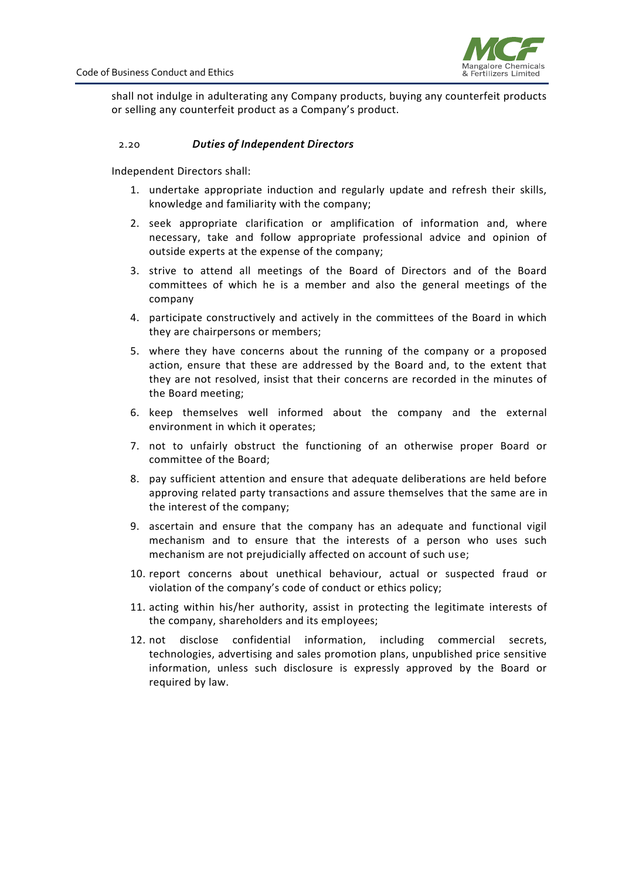

shall not indulge in adulterating any Company products, buying any counterfeit products or selling any counterfeit product as a Company's product.

#### 2.20 *Duties of Independent Directors*

Independent Directors shall:

- 1. undertake appropriate induction and regularly update and refresh their skills, knowledge and familiarity with the company;
- 2. seek appropriate clarification or amplification of information and, where necessary, take and follow appropriate professional advice and opinion of outside experts at the expense of the company;
- 3. strive to attend all meetings of the Board of Directors and of the Board committees of which he is a member and also the general meetings of the company
- 4. participate constructively and actively in the committees of the Board in which they are chairpersons or members;
- 5. where they have concerns about the running of the company or a proposed action, ensure that these are addressed by the Board and, to the extent that they are not resolved, insist that their concerns are recorded in the minutes of the Board meeting;
- 6. keep themselves well informed about the company and the external environment in which it operates;
- 7. not to unfairly obstruct the functioning of an otherwise proper Board or committee of the Board;
- 8. pay sufficient attention and ensure that adequate deliberations are held before approving related party transactions and assure themselves that the same are in the interest of the company;
- 9. ascertain and ensure that the company has an adequate and functional vigil mechanism and to ensure that the interests of a person who uses such mechanism are not prejudicially affected on account of such use;
- 10. report concerns about unethical behaviour, actual or suspected fraud or violation of the company's code of conduct or ethics policy;
- 11. acting within his/her authority, assist in protecting the legitimate interests of the company, shareholders and its employees;
- 12. not disclose confidential information, including commercial secrets, technologies, advertising and sales promotion plans, unpublished price sensitive information, unless such disclosure is expressly approved by the Board or required by law.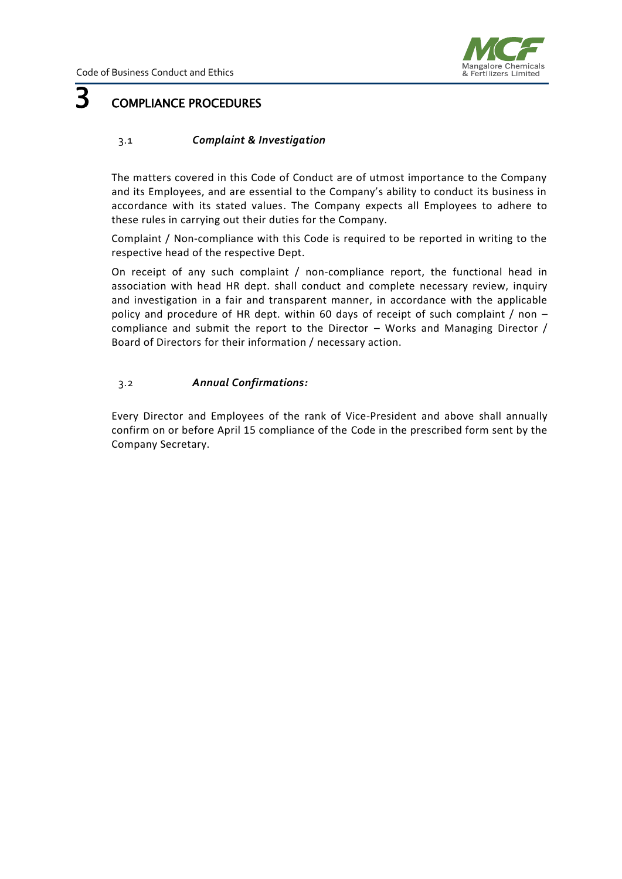

# <span id="page-9-0"></span>3 COMPLIANCE PROCEDURES

#### 3.1 *Complaint & Investigation*

The matters covered in this Code of Conduct are of utmost importance to the Company and its Employees, and are essential to the Company's ability to conduct its business in accordance with its stated values. The Company expects all Employees to adhere to these rules in carrying out their duties for the Company.

Complaint / Non-compliance with this Code is required to be reported in writing to the respective head of the respective Dept.

On receipt of any such complaint / non-compliance report, the functional head in association with head HR dept. shall conduct and complete necessary review, inquiry and investigation in a fair and transparent manner, in accordance with the applicable policy and procedure of HR dept. within 60 days of receipt of such complaint / non – compliance and submit the report to the Director – Works and Managing Director / Board of Directors for their information / necessary action.

#### 3.2 *Annual Confirmations:*

Every Director and Employees of the rank of Vice-President and above shall annually confirm on or before April 15 compliance of the Code in the prescribed form sent by the Company Secretary.